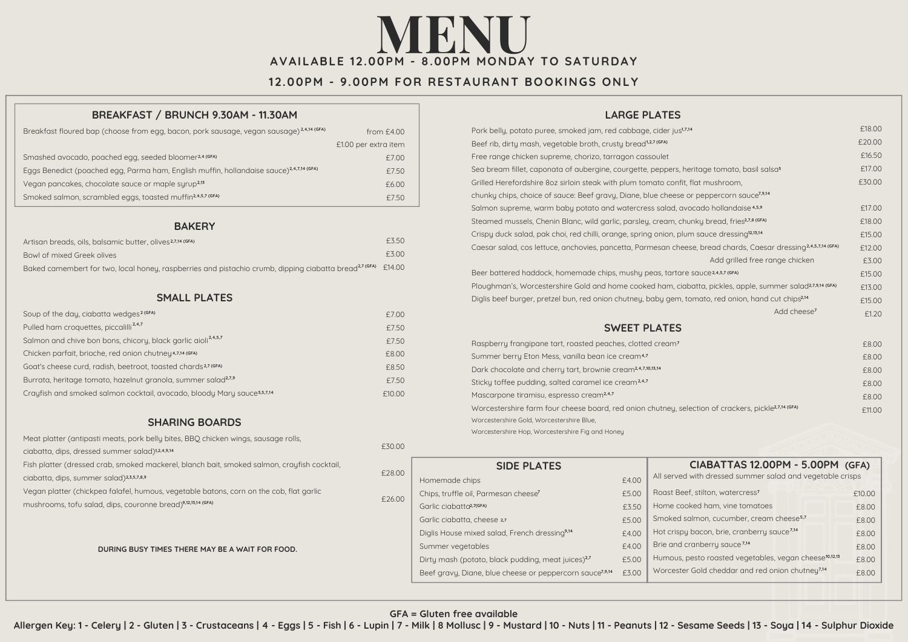# **AVAILABLE 12.0 0PM - 8 M MO NDAY TO SATURDAY NENU**

## **12.00PM - 9.00PM FOR RESTAURANT BOOKINGS ONLY**

#### **BREAKFAST / BRUNCH 9.30AM - 11.30AM**

| Breakfast floured bap (choose from egg, bacon, pork sausage, vegan sausage) <sup>2,4,14</sup> (GFA) | from $£4.00$         |
|-----------------------------------------------------------------------------------------------------|----------------------|
|                                                                                                     | £1.00 per extra item |
| Smashed avocado, poached egg, seeded bloomer <sup>2,4 (GFA)</sup>                                   | £7.00                |
| Eggs Benedict (poached egg, Parma ham, English muffin, hollandaise sauce) <sup>2,4,7,14</sup> (GFA) | £7.50                |
| Vegan pancakes, chocolate sauce or maple surup <sup>2,13</sup>                                      | £6.00                |
| Smoked salmon, scrambled eggs, toasted muffin <sup>2,4,5,7</sup> (GFA)                              | £7.50                |

#### **BAKERY**

| Artisan breads, oils, balsamic butter, olives <sup>2,7,14</sup> (GFA)                                                    | £3.50 |
|--------------------------------------------------------------------------------------------------------------------------|-------|
| Bowl of mixed Greek olives                                                                                               | f300  |
| Baked camembert for two, local honey, raspberries and pistachio crumb, dipping ciabatta bread <sup>27 (GFA)</sup> £14.00 |       |

### **SMALL PLATES**

| Soup of the day, ciabatta wedges <sup>2 (GFA)</sup>                       | £7.00  |
|---------------------------------------------------------------------------|--------|
| Pulled ham croquettes, piccalilli <sup>2,4,7</sup>                        | £7.50  |
| Salmon and chive bon bons, chicory, black garlic aioli <sup>2,4,5,7</sup> | £7.50  |
| Chicken parfait, brioche, red onion chutney <sup>4,7,14 (GFA)</sup>       | £8.00  |
| Goat's cheese curd, radish, beetroot, toasted chards <sup>2,7 (GFA)</sup> | £8.50  |
| Burrata, heritage tomato, hazelnut granola, summer salad <sup>2,7,9</sup> | £7.50  |
| Crayfish and smoked salmon cocktail, avocado, bloody Mary sauce3,5,7,14   | £10.00 |

#### **SHARING BOARDS**

Meat platter (antipasti meats, pork belly bites, BBQ chicken wings, sausage rolls, ciabatta, dips, dressed summer salad) **1,2,4,9,14** Fish platter (dressed crab, smoked mackerel, blanch bait, smoked salmon, crayfish cocktail, ciabatta, dips, summer salad) **2,3,5,7,8,9** Vegan platter (chickpea falafel, humous, vegetable batons, corn on the cob, flat garlic mushrooms, tofu salad, dips, couronne bread) **9,12,13,14 (GFA)**

**DURING BUSY TIMES THERE MAY BE A WAIT FOR FOOD.**

### **LARGE PLATES**

| Pork belly, potato puree, smoked jam, red cabbage, cider jus <sup>1,7,14</sup>                                  | £18.00 |
|-----------------------------------------------------------------------------------------------------------------|--------|
| Beef rib, dirty mash, vegetable broth, crusty bread <sup>1,2,7 (GFA)</sup>                                      | £20.00 |
| Free range chicken supreme, chorizo, tarragon cassoulet                                                         | £16.50 |
| Sea bream fillet, caponata of aubergine, courgette, peppers, heritage tomato, basil salsas                      | £17.00 |
| Grilled Herefordshire 8oz sirloin steak with plum tomato confit, flat mushroom,                                 | £30.00 |
| chunky chips, choice of sauce: Beef gravy, Diane, blue cheese or peppercorn sauce <sup>7,9,14</sup>             |        |
| Salmon supreme, warm baby potato and watercress salad, avocado hollandaise <sup>4,5,9</sup>                     | £17.00 |
| Steamed mussels, Chenin Blanc, wild garlic, parsley, cream, chunky bread, fries <sup>2,7,8 (GFA)</sup>          | £18.00 |
| Crispy duck salad, pak choi, red chilli, orange, spring onion, plum sauce dressing <sup>12,13,14</sup>          | £15.00 |
| Caesar salad, cos lettuce, anchovies, pancetta, Parmesan cheese, bread chards, Caesar dressing2,4,5,7,14 (GFA)  | £12.00 |
| Add grilled free range chicken                                                                                  | £3.00  |
| Beer battered haddock, homemade chips, mushy peas, tartare sauce <sup>2,4,5,7</sup> (GFA)                       | £15.00 |
| Ploughman's, Worcestershire Gold and home cooked ham, ciabatta, pickles, apple, summer salad2,7,9,14 (GFA)      | £13.00 |
| Diglis beef burger, pretzel bun, red onion chutney, baby gem, tomato, red onion, hand cut chips <sup>2,14</sup> | £15.00 |
| Add cheese <sup>7</sup>                                                                                         | £1.20  |
| <b>SWEET PLATES</b>                                                                                             |        |
| Raspberry frangipane tart, roasted peaches, clotted cream <sup>7</sup>                                          | £8.00  |
| Summer berry Eton Mess, vanilla bean ice cream <sup>4,7</sup>                                                   | £8.00  |
| Dark chocolate and cherry tart, brownie cream <sup>2,4,7,10,13,14</sup>                                         | £8.00  |
| Sticky toffee pudding, salted caramel ice cream <sup>2,4,7</sup>                                                | £8.00  |
| Mascarpone tiramisu, espresso cream <sup>2,4,7</sup>                                                            | £8.00  |
| Worcestershire farm four cheese board, red onion chutney, selection of crackers, pickle <sup>2,7,14 (GFA)</sup> | £11.00 |
| Worcestershire Gold, Worcestershire Blue,                                                                       |        |

Worcestershire Hop, Worcestershire Fig and Honey

| £28.00 | <b>SIDE PLATES</b>                                                   |       | CIABATTAS 12.00PM - 5.00PM (GFA)                                   |        |
|--------|----------------------------------------------------------------------|-------|--------------------------------------------------------------------|--------|
|        | Homemade chips                                                       | f4.00 | All served with dressed summer salad and vegetable crisps          |        |
| £26.00 | Chips, truffle oil, Parmesan cheese'                                 | £5.00 | Roast Beef, stilton, watercress <sup>7</sup>                       | £10.00 |
|        | Garlic ciabatta <sup>2,7(GFA)</sup>                                  | £3.50 | Home cooked ham, vine tomatoes                                     | £8.00  |
|        | Garlic ciabatta, cheese 2,7                                          | £5.00 | Smoked salmon, cucumber, cream cheese <sup>5,7</sup>               | £8.00  |
|        | Diglis House mixed salad, French dressing <sup>9,14</sup>            | £4.00 | Hot crispy bacon, brie, cranberry sauce <sup>7,14</sup>            | £8.00  |
|        | Summer vegetables                                                    | £4.00 | Brie and cranberry sauce <sup>7,14</sup>                           | £8.00  |
|        | Dirty mash (potato, black pudding, meat juices) <sup>2,7</sup>       | £5.00 | Humous, pesto roasted vegetables, vegan cheese <sup>10,12,13</sup> | £8.00  |
|        | Beef gravy, Diane, blue cheese or peppercorn sauce <sup>7,9,14</sup> | £3.00 | Worcester Gold cheddar and red onion chutney <sup>7,14</sup>       | £8.00  |

#### **GFA = Gluten free available**

Allergen Key: 1 - Celery | 2 - Gluten | 3 - Crustaceans | 4 - Eggs | 5 - Fish | 6 - Lupin | 7 - Milk | 8 Mollusc | 9 - Mustard | 10 - Nuts | 11 - Peanuts | 12 - Sesame Seeds | 13 - Soya | 14 - Sulphur Dioxide

£30.00